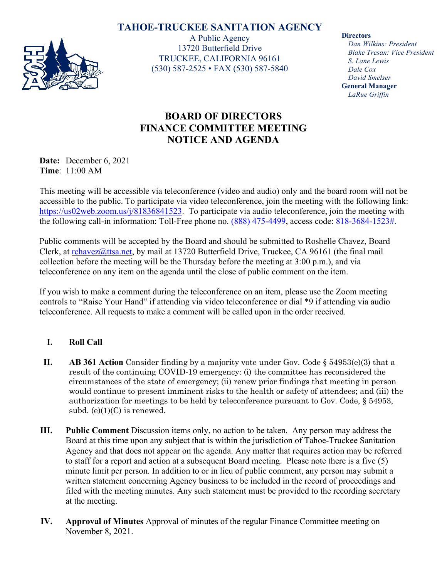## **TAHOE-TRUCKEE SANITATION AGENCY**



A Public Agency 13720 Butterfield Drive TRUCKEE, CALIFORNIA 96161 (530) 587-2525 • FAX (530) 587-5840 **Directors**

*Dan Wilkins: President Blake Tresan: Vice President S. Lane Lewis Dale Cox David Smelser* **General Manager** *LaRue Griffin*

## **BOARD OF DIRECTORS FINANCE COMMITTEE MEETING NOTICE AND AGENDA**

**Date:** December 6, 2021 **Time**: 11:00 AM

This meeting will be accessible via teleconference (video and audio) only and the board room will not be accessible to the public. To participate via video teleconference, join the meeting with the following link: [https://us02web.zoom.us/j/81836841523.](https://us02web.zoom.us/j/81836841523) To participate via audio teleconference, join the meeting with the following call-in information: Toll-Free phone no. (888) 475-4499, access code: 818-3684-1523#.

Public comments will be accepted by the Board and should be submitted to Roshelle Chavez, Board Clerk, at [rchavez@ttsa.net,](mailto:rchavez@ttsa.net) by mail at 13720 Butterfield Drive, Truckee, CA 96161 (the final mail collection before the meeting will be the Thursday before the meeting at 3:00 p.m.), and via teleconference on any item on the agenda until the close of public comment on the item.

If you wish to make a comment during the teleconference on an item, please use the Zoom meeting controls to "Raise Your Hand" if attending via video teleconference or dial \*9 if attending via audio teleconference. All requests to make a comment will be called upon in the order received.

## **I. Roll Call**

- **II. AB 361 Action** Consider finding by a majority vote under Gov. Code § 54953(e)(3) that a result of the continuing COVID-19 emergency: (i) the committee has reconsidered the circumstances of the state of emergency; (ii) renew prior findings that meeting in person would continue to present imminent risks to the health or safety of attendees; and (iii) the authorization for meetings to be held by teleconference pursuant to Gov. Code, § 54953, subd.  $(e)(1)(C)$  is renewed.
- **III. Public Comment** Discussion items only, no action to be taken. Any person may address the Board at this time upon any subject that is within the jurisdiction of Tahoe-Truckee Sanitation Agency and that does not appear on the agenda. Any matter that requires action may be referred to staff for a report and action at a subsequent Board meeting. Please note there is a five (5) minute limit per person. In addition to or in lieu of public comment, any person may submit a written statement concerning Agency business to be included in the record of proceedings and filed with the meeting minutes. Any such statement must be provided to the recording secretary at the meeting.
- **IV. Approval of Minutes** Approval of minutes of the regular Finance Committee meeting on November 8, 2021.